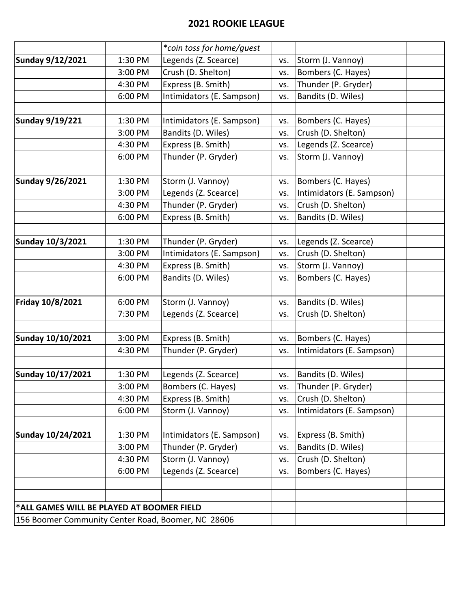## **2021 ROOKIE LEAGUE**

|                                                    |         | *coin toss for home/guest |     |                           |  |
|----------------------------------------------------|---------|---------------------------|-----|---------------------------|--|
| <b>Sunday 9/12/2021</b>                            | 1:30 PM | Legends (Z. Scearce)      | VS. | Storm (J. Vannoy)         |  |
|                                                    | 3:00 PM | Crush (D. Shelton)        | VS. | Bombers (C. Hayes)        |  |
|                                                    | 4:30 PM | Express (B. Smith)        | VS. | Thunder (P. Gryder)       |  |
|                                                    | 6:00 PM | Intimidators (E. Sampson) | VS. | Bandits (D. Wiles)        |  |
|                                                    |         |                           |     |                           |  |
| <b>Sunday 9/19/221</b>                             | 1:30 PM | Intimidators (E. Sampson) | VS. | Bombers (C. Hayes)        |  |
|                                                    | 3:00 PM | Bandits (D. Wiles)        | VS. | Crush (D. Shelton)        |  |
|                                                    | 4:30 PM | Express (B. Smith)        | VS. | Legends (Z. Scearce)      |  |
|                                                    | 6:00 PM | Thunder (P. Gryder)       | VS. | Storm (J. Vannoy)         |  |
|                                                    |         |                           |     |                           |  |
| Sunday 9/26/2021                                   | 1:30 PM | Storm (J. Vannoy)         | VS. | Bombers (C. Hayes)        |  |
|                                                    | 3:00 PM | Legends (Z. Scearce)      | VS. | Intimidators (E. Sampson) |  |
|                                                    | 4:30 PM | Thunder (P. Gryder)       | VS. | Crush (D. Shelton)        |  |
|                                                    | 6:00 PM | Express (B. Smith)        | VS. | Bandits (D. Wiles)        |  |
|                                                    |         |                           |     |                           |  |
| <b>Sunday 10/3/2021</b>                            | 1:30 PM | Thunder (P. Gryder)       | VS. | Legends (Z. Scearce)      |  |
|                                                    | 3:00 PM | Intimidators (E. Sampson) | VS. | Crush (D. Shelton)        |  |
|                                                    | 4:30 PM | Express (B. Smith)        | VS. | Storm (J. Vannoy)         |  |
|                                                    | 6:00 PM | Bandits (D. Wiles)        | VS. | Bombers (C. Hayes)        |  |
|                                                    |         |                           |     |                           |  |
| Friday 10/8/2021                                   | 6:00 PM | Storm (J. Vannoy)         | VS. | Bandits (D. Wiles)        |  |
|                                                    | 7:30 PM | Legends (Z. Scearce)      | VS. | Crush (D. Shelton)        |  |
|                                                    |         |                           |     |                           |  |
| <b>Sunday 10/10/2021</b>                           | 3:00 PM | Express (B. Smith)        | VS. | Bombers (C. Hayes)        |  |
|                                                    | 4:30 PM | Thunder (P. Gryder)       | VS. | Intimidators (E. Sampson) |  |
| <b>Sunday 10/17/2021</b>                           | 1:30 PM | Legends (Z. Scearce)      | VS. | Bandits (D. Wiles)        |  |
|                                                    | 3:00 PM | Bombers (C. Hayes)        | VS. | Thunder (P. Gryder)       |  |
|                                                    | 4:30 PM | Express (B. Smith)        | VS. | Crush (D. Shelton)        |  |
|                                                    | 6:00 PM | Storm (J. Vannoy)         | VS. | Intimidators (E. Sampson) |  |
|                                                    |         |                           |     |                           |  |
| <b>Sunday 10/24/2021</b>                           | 1:30 PM | Intimidators (E. Sampson) | VS. | Express (B. Smith)        |  |
|                                                    | 3:00 PM | Thunder (P. Gryder)       | VS. | Bandits (D. Wiles)        |  |
|                                                    | 4:30 PM | Storm (J. Vannoy)         | VS. | Crush (D. Shelton)        |  |
|                                                    | 6:00 PM | Legends (Z. Scearce)      | VS. | Bombers (C. Hayes)        |  |
|                                                    |         |                           |     |                           |  |
|                                                    |         |                           |     |                           |  |
| *ALL GAMES WILL BE PLAYED AT BOOMER FIELD          |         |                           |     |                           |  |
| 156 Boomer Community Center Road, Boomer, NC 28606 |         |                           |     |                           |  |